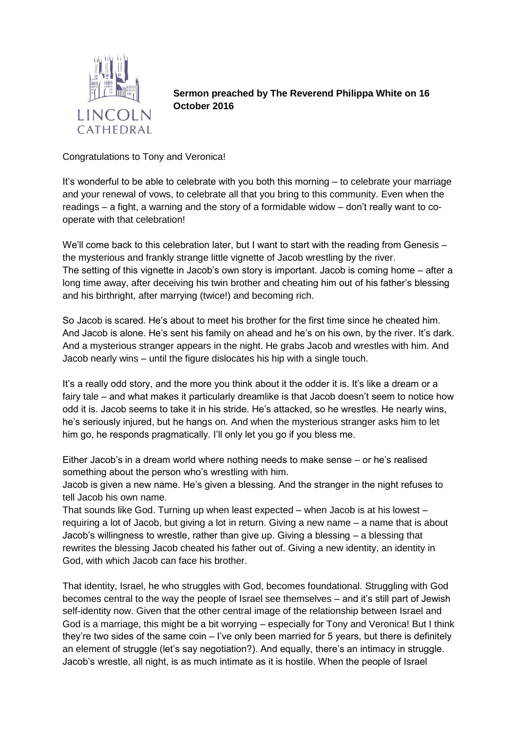

**Sermon preached by The Reverend Philippa White on 16 October 2016**

Congratulations to Tony and Veronica!

It's wonderful to be able to celebrate with you both this morning – to celebrate your marriage and your renewal of vows, to celebrate all that you bring to this community. Even when the readings – a fight, a warning and the story of a formidable widow – don't really want to cooperate with that celebration!

We'll come back to this celebration later, but I want to start with the reading from Genesis – the mysterious and frankly strange little vignette of Jacob wrestling by the river. The setting of this vignette in Jacob's own story is important. Jacob is coming home – after a long time away, after deceiving his twin brother and cheating him out of his father's blessing and his birthright, after marrying (twice!) and becoming rich.

So Jacob is scared. He's about to meet his brother for the first time since he cheated him. And Jacob is alone. He's sent his family on ahead and he's on his own, by the river. It's dark. And a mysterious stranger appears in the night. He grabs Jacob and wrestles with him. And Jacob nearly wins – until the figure dislocates his hip with a single touch.

It's a really odd story, and the more you think about it the odder it is. It's like a dream or a fairy tale – and what makes it particularly dreamlike is that Jacob doesn't seem to notice how odd it is. Jacob seems to take it in his stride. He's attacked, so he wrestles. He nearly wins, he's seriously injured, but he hangs on. And when the mysterious stranger asks him to let him go, he responds pragmatically. I'll only let you go if you bless me.

Either Jacob's in a dream world where nothing needs to make sense – or he's realised something about the person who's wrestling with him.

Jacob is given a new name. He's given a blessing. And the stranger in the night refuses to tell Jacob his own name.

That sounds like God. Turning up when least expected – when Jacob is at his lowest – requiring a lot of Jacob, but giving a lot in return. Giving a new name – a name that is about Jacob's willingness to wrestle, rather than give up. Giving a blessing – a blessing that rewrites the blessing Jacob cheated his father out of. Giving a new identity, an identity in God, with which Jacob can face his brother.

That identity, Israel, he who struggles with God, becomes foundational. Struggling with God becomes central to the way the people of Israel see themselves – and it's still part of Jewish self-identity now. Given that the other central image of the relationship between Israel and God is a marriage, this might be a bit worrying – especially for Tony and Veronica! But I think they're two sides of the same coin – I've only been married for 5 years, but there is definitely an element of struggle (let's say negotiation?). And equally, there's an intimacy in struggle. Jacob's wrestle, all night, is as much intimate as it is hostile. When the people of Israel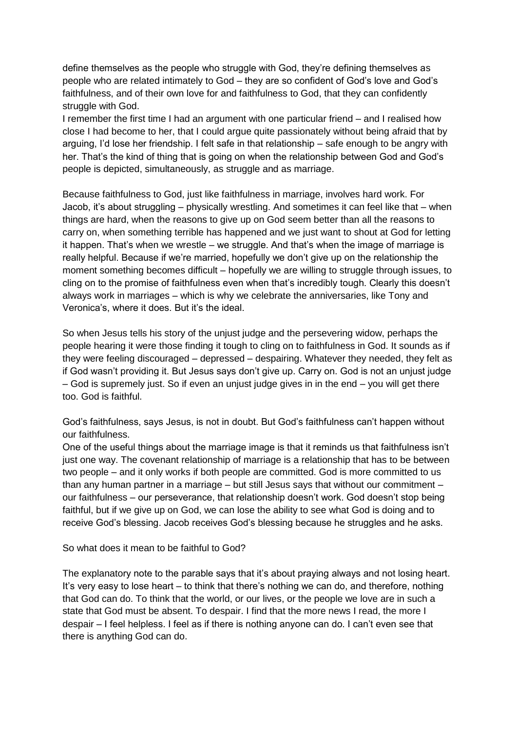define themselves as the people who struggle with God, they're defining themselves as people who are related intimately to God – they are so confident of God's love and God's faithfulness, and of their own love for and faithfulness to God, that they can confidently struggle with God.

I remember the first time I had an argument with one particular friend – and I realised how close I had become to her, that I could argue quite passionately without being afraid that by arguing, I'd lose her friendship. I felt safe in that relationship – safe enough to be angry with her. That's the kind of thing that is going on when the relationship between God and God's people is depicted, simultaneously, as struggle and as marriage.

Because faithfulness to God, just like faithfulness in marriage, involves hard work. For Jacob, it's about struggling – physically wrestling. And sometimes it can feel like that – when things are hard, when the reasons to give up on God seem better than all the reasons to carry on, when something terrible has happened and we just want to shout at God for letting it happen. That's when we wrestle – we struggle. And that's when the image of marriage is really helpful. Because if we're married, hopefully we don't give up on the relationship the moment something becomes difficult – hopefully we are willing to struggle through issues, to cling on to the promise of faithfulness even when that's incredibly tough. Clearly this doesn't always work in marriages – which is why we celebrate the anniversaries, like Tony and Veronica's, where it does. But it's the ideal.

So when Jesus tells his story of the unjust judge and the persevering widow, perhaps the people hearing it were those finding it tough to cling on to faithfulness in God. It sounds as if they were feeling discouraged – depressed – despairing. Whatever they needed, they felt as if God wasn't providing it. But Jesus says don't give up. Carry on. God is not an unjust judge – God is supremely just. So if even an unjust judge gives in in the end – you will get there too. God is faithful.

God's faithfulness, says Jesus, is not in doubt. But God's faithfulness can't happen without our faithfulness.

One of the useful things about the marriage image is that it reminds us that faithfulness isn't just one way. The covenant relationship of marriage is a relationship that has to be between two people – and it only works if both people are committed. God is more committed to us than any human partner in a marriage – but still Jesus says that without our commitment – our faithfulness – our perseverance, that relationship doesn't work. God doesn't stop being faithful, but if we give up on God, we can lose the ability to see what God is doing and to receive God's blessing. Jacob receives God's blessing because he struggles and he asks.

So what does it mean to be faithful to God?

The explanatory note to the parable says that it's about praying always and not losing heart. It's very easy to lose heart – to think that there's nothing we can do, and therefore, nothing that God can do. To think that the world, or our lives, or the people we love are in such a state that God must be absent. To despair. I find that the more news I read, the more I despair – I feel helpless. I feel as if there is nothing anyone can do. I can't even see that there is anything God can do.